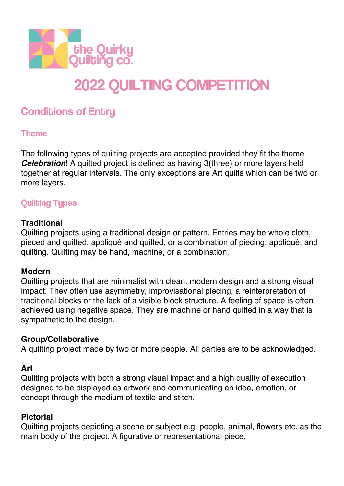

# 2022 QUILTING COMPETITION

# **Conditions of Entry**

#### Theme

The following types of quilting projects are accepted provided they fit the theme **Celebration!** A quilted project is defined as having 3(three) or more layers held together at regular intervals. The only exceptions are Art quilts which can be two or more layers.

# Quilting Types

#### **Traditional**

Quilting projects using a traditional design or pattern. Entries may be whole cloth, pieced and quilted, appliqué and quilted, or a combination of piecing, appliqué, and quilting. Quilting may be hand, machine, or a combination.

#### **Modern**

Quilting projects that are minimalist with clean, modern design and a strong visual impact. They often use asymmetry, improvisational piecing, a reinterpretation of traditional blocks or the lack of a visible block structure. A feeling of space is often achieved using negative space. They are machine or hand quilted in a way that is sympathetic to the design.

#### **Group/Collaborative**

A quilting project made by two or more people. All parties are to be acknowledged.

#### **Art**

Quilting projects with both a strong visual impact and a high quality of execution designed to be displayed as artwork and communicating an idea, emotion, or concept through the medium of textile and stitch.

#### **Pictorial**

Quilting projects depicting a scene or subject e.g. people, animal, flowers etc. as the main body of the project. A figurative or representational piece.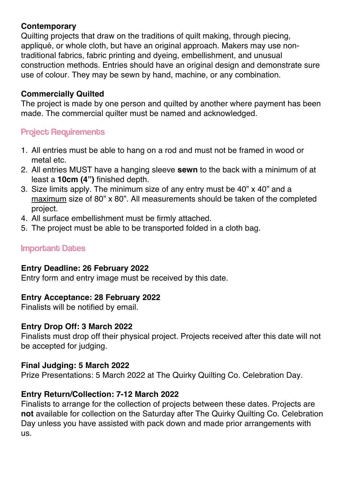#### **Contemporary**

Quilting projects that draw on the traditions of quilt making, through piecing, appliqué, or whole cloth, but have an original approach. Makers may use nontraditional fabrics, fabric printing and dyeing, embellishment, and unusual construction methods. Entries should have an original design and demonstrate sure use of colour. They may be sewn by hand, machine, or any combination.

#### **Commercially Quilted**

The project is made by one person and quilted by another where payment has been made. The commercial quilter must be named and acknowledged.

#### Project Requirements

- 1. All entries must be able to hang on a rod and must not be framed in wood or metal etc.
- 2. All entries MUST have a hanging sleeve **sewn** to the back with a minimum of at least a **10cm (4")** finished depth.
- 3. Size limits apply. The minimum size of any entry must be 40" x 40" and a maximum size of 80" x 80". All measurements should be taken of the completed project.
- 4. All surface embellishment must be firmly attached.
- 5. The project must be able to be transported folded in a cloth bag.

#### Important Dates

#### **Entry Deadline: 26 February 2022**

Entry form and entry image must be received by this date.

#### **Entry Acceptance: 28 February 2022**

Finalists will be notified by email.

#### **Entry Drop Off: 3 March 2022**

Finalists must drop off their physical project. Projects received after this date will not be accepted for judging.

#### **Final Judging: 5 March 2022**

Prize Presentations: 5 March 2022 at The Quirky Quilting Co. Celebration Day.

#### **Entry Return/Collection: 7-12 March 2022**

Finalists to arrange for the collection of projects between these dates. Projects are **not** available for collection on the Saturday after The Quirky Quilting Co. Celebration Day unless you have assisted with pack down and made prior arrangements with us.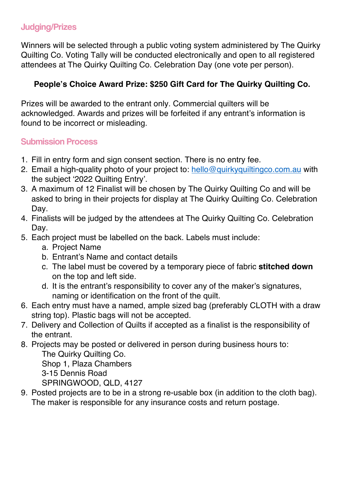# Judging/Prizes

Winners will be selected through a public voting system administered by The Quirky Quilting Co. Voting Tally will be conducted electronically and open to all registered attendees at The Quirky Quilting Co. Celebration Day (one vote per person).

# **People's Choice Award Prize: \$250 Gift Card for The Quirky Quilting Co.**

Prizes will be awarded to the entrant only. Commercial quilters will be acknowledged. Awards and prizes will be forfeited if any entrant's information is found to be incorrect or misleading.

# Submission Process

- 1. Fill in entry form and sign consent section. There is no entry fee.
- 2. Email a high-quality photo of your project to: hello@quirkyquiltingco.com.au with the subject '2022 Quilting Entry'.
- 3. A maximum of 12 Finalist will be chosen by The Quirky Quilting Co and will be asked to bring in their projects for display at The Quirky Quilting Co. Celebration Day.
- 4. Finalists will be judged by the attendees at The Quirky Quilting Co. Celebration Day.
- 5. Each project must be labelled on the back. Labels must include:
	- a. Project Name
	- b. Entrant's Name and contact details
	- c. The label must be covered by a temporary piece of fabric **stitched down**  on the top and left side.
	- d. It is the entrant's responsibility to cover any of the maker's signatures, naming or identification on the front of the quilt.
- 6. Each entry must have a named, ample sized bag (preferably CLOTH with a draw string top). Plastic bags will not be accepted.
- 7. Delivery and Collection of Quilts if accepted as a finalist is the responsibility of the entrant.
- 8. Projects may be posted or delivered in person during business hours to: The Quirky Quilting Co.

Shop 1, Plaza Chambers 3-15 Dennis Road SPRINGWOOD, QLD, 4127

9. Posted projects are to be in a strong re-usable box (in addition to the cloth bag). The maker is responsible for any insurance costs and return postage.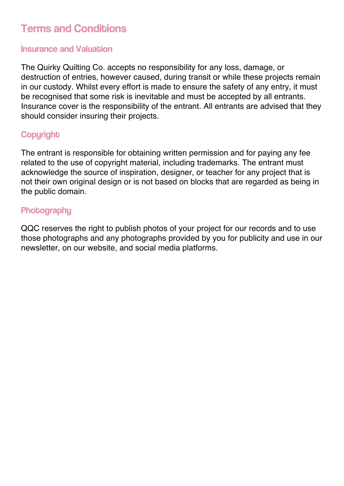# **Terms and Conditions**

#### Insurance and Valuation

The Quirky Quilting Co. accepts no responsibility for any loss, damage, or destruction of entries, however caused, during transit or while these projects remain in our custody. Whilst every effort is made to ensure the safety of any entry, it must be recognised that some risk is inevitable and must be accepted by all entrants. Insurance cover is the responsibility of the entrant. All entrants are advised that they should consider insuring their projects.

# **Copyright**

The entrant is responsible for obtaining written permission and for paying any fee related to the use of copyright material, including trademarks. The entrant must acknowledge the source of inspiration, designer, or teacher for any project that is not their own original design or is not based on blocks that are regarded as being in the public domain.

## **Photography**

QQC reserves the right to publish photos of your project for our records and to use those photographs and any photographs provided by you for publicity and use in our newsletter, on our website, and social media platforms.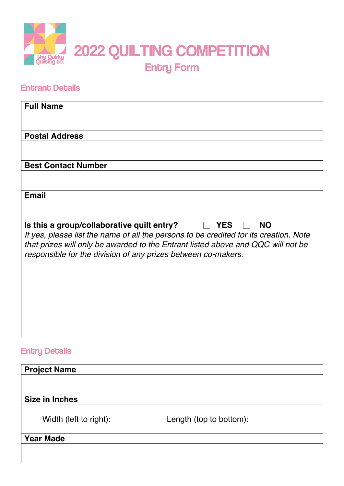

## **Entrant Details**

| <b>Full Name</b>                                                                                                                                                                                                                                                                                                    |
|---------------------------------------------------------------------------------------------------------------------------------------------------------------------------------------------------------------------------------------------------------------------------------------------------------------------|
|                                                                                                                                                                                                                                                                                                                     |
|                                                                                                                                                                                                                                                                                                                     |
| <b>Postal Address</b>                                                                                                                                                                                                                                                                                               |
|                                                                                                                                                                                                                                                                                                                     |
| <b>Best Contact Number</b>                                                                                                                                                                                                                                                                                          |
|                                                                                                                                                                                                                                                                                                                     |
| <b>Email</b>                                                                                                                                                                                                                                                                                                        |
|                                                                                                                                                                                                                                                                                                                     |
| Is this a group/collaborative quilt entry?<br><b>YES</b><br><b>NO</b><br>If yes, please list the name of all the persons to be credited for its creation. Note<br>that prizes will only be awarded to the Entrant listed above and QQC will not be<br>responsible for the division of any prizes between co-makers. |
|                                                                                                                                                                                                                                                                                                                     |
| <b>Entry Details</b>                                                                                                                                                                                                                                                                                                |

| <b>Project Name</b>    |                         |
|------------------------|-------------------------|
|                        |                         |
|                        |                         |
| <b>Size in Inches</b>  |                         |
| Width (left to right): | Length (top to bottom): |
| <b>Year Made</b>       |                         |
|                        |                         |